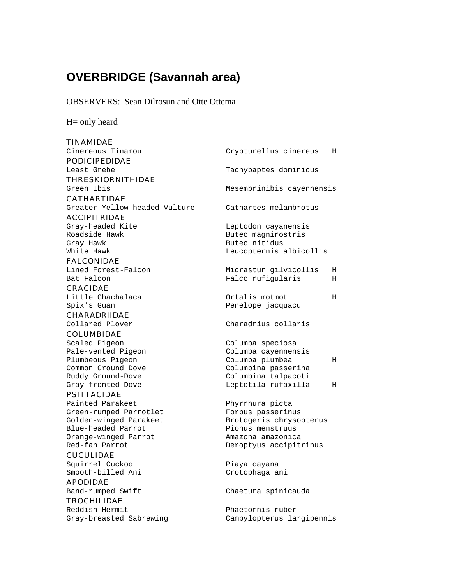# **OVERBRIDGE (Savannah area)**

OBSERVERS: Sean Dilrosun and Otte Ottema

H= only heard

| <b>TINAMIDAE</b>                       |                                        |    |
|----------------------------------------|----------------------------------------|----|
| Cinereous Tinamou                      | Crypturellus cinereus                  | H  |
| <b>PODICIPEDIDAE</b>                   |                                        |    |
| Least Grebe                            | Tachybaptes dominicus                  |    |
| <b>THRESKIORNITHIDAE</b>               |                                        |    |
| Green Ibis                             | Mesembrinibis cayennensis              |    |
| <b>CATHARTIDAE</b>                     |                                        |    |
| Greater Yellow-headed Vulture          | Cathartes melambrotus                  |    |
| <b>ACCIPITRIDAE</b>                    |                                        |    |
| Gray-headed Kite                       | Leptodon cayanensis                    |    |
| Roadside Hawk                          | Buteo magnirostris                     |    |
| Gray Hawk                              | Buteo nitidus                          |    |
| White Hawk                             | Leucopternis albicollis                |    |
| <b>FALCONIDAE</b>                      |                                        |    |
| Lined Forest-Falcon                    | Micrastur gilvicollis                  | Н. |
| Bat Falcon                             | Falco rufigularis                      | Н  |
| <b>CRACIDAE</b>                        |                                        |    |
| Little Chachalaca                      | Ortalis motmot                         | Н  |
| Spix's Guan                            | Penelope jacquacu                      |    |
| <b>CHARADRIIDAE</b>                    |                                        |    |
| Collared Plover                        | Charadrius collaris                    |    |
| <b>COLUMBIDAE</b>                      |                                        |    |
| Scaled Pigeon                          | Columba speciosa                       |    |
| Pale-vented Pigeon                     | Columba cayennensis                    |    |
| Plumbeous Pigeon<br>Common Ground Dove | Columba plumbea<br>Columbina passerina | Н  |
| Ruddy Ground-Dove                      | Columbina talpacoti                    |    |
| Gray-fronted Dove                      | Leptotila rufaxilla                    | Н  |
| <b>PSITTACIDAE</b>                     |                                        |    |
| Painted Parakeet                       | Phyrrhura picta                        |    |
| Green-rumped Parrotlet                 | Forpus passerinus                      |    |
| Golden-winged Parakeet                 | Brotogeris chrysopterus                |    |
| Blue-headed Parrot                     | Pionus menstruus                       |    |
| Orange-winged Parrot                   | Amazona amazonica                      |    |
| Red-fan Parrot                         | Deroptyus accipitrinus                 |    |
| <b>CUCULIDAE</b>                       |                                        |    |
| Squirrel Cuckoo                        | Piaya cayana                           |    |
| Smooth-billed Ani                      | Crotophaga ani                         |    |
| <b>APODIDAE</b>                        |                                        |    |
| Band-rumped Swift                      | Chaetura spinicauda                    |    |
| <b>TROCHILIDAE</b>                     |                                        |    |
| Reddish Hermit                         | Phaetornis ruber                       |    |
| Gray-breasted Sabrewing                | Campylopterus largipennis              |    |
|                                        |                                        |    |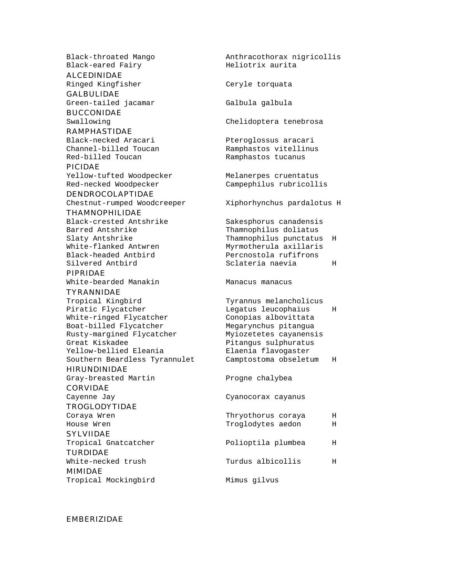Black-throated Mango and Anthracothorax nigricollis<br>Black-eared Fairy Black-eared Fair Black-eared Fairy

ALCEDINIDAE

GALBULIDAE Green-tailed jacamar Galbula qalbula

BUCCONIDAE

#### RAMPHASTIDAE

Red-billed Toucan Ramphastos tucanus

PICIDAE

Red-necked Woodpecker Campephilus rubricollis

# DENDROCOLAPTIDAE Chestnut-rumped Woodcreeper Xiphorhynchus pardalotus H

THAMNOPHILIDAE

Barred Antshrike Thamnophilus doliatus

# PIPRIDAE

White-bearded Manakin Manacus manacus

# TYRANNIDAE

Tropical Kingbird Tyrannus melancholicus Piratic Flycatcher Legatus leucophaius H White-ringed Flycatcher Conopias albovittata Boat-billed Flycatcher Megarynchus pitangua<br>Rusty-margined Flycatcher Myiozetetes cayanensis Rusty-margined Flycatcher Great Kiskadee entitled and the Pitangus sulphuratus Yellow-bellied Eleania Elaenia flavogaster Southern Beardless Tyrannulet Camptostoma obseletum H

HIRUNDINIDAE

Gray-breasted Martin Progne chalybea

CORVIDAE

TROGLODYTIDAE

# SYLVIIDAE

TURDIDAE MIMIDAE

Tropical Mockingbird Mimus gilvus

Ringed Kingfisher Ceryle torquata Swallowing Chelidoptera tenebrosa Black-necked Aracari Pteroglossus aracari Channel-billed Toucan Ramphastos vitellinus Yellow-tufted Woodpecker Melanerpes cruentatus Black-crested Antshrike Sakesphorus canadensis Slaty Antshrike Thamnophilus punctatus H White-flanked Antwren Myrmotherula axillaris Black-headed Antbird Percnostola rufifrons Sclateria naevia herri H

Cayenne Jay Cayenne Jay Cyanocorax cayanus

Coraya Wren Thryothorus coraya H House Wren Troglodytes aedon H Tropical Gnatcatcher **Polioptila plumbea** H

White-necked trush Turdus albicollis H

## EMBERIZIDAE